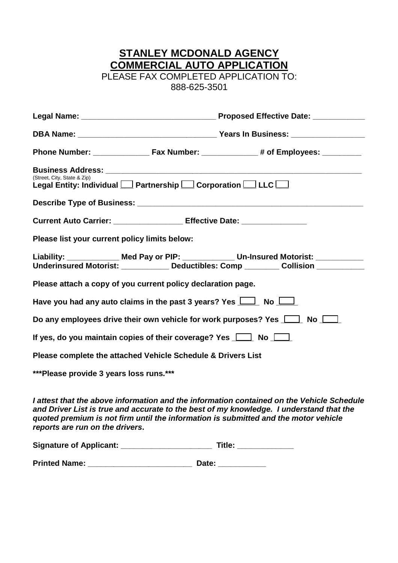### **STANLEY MCDONALD AGENCY COMMERCIAL AUTO APPLICATION**

PLEASE FAX COMPLETED APPLICATION TO: 888-625-3501

| (Street, City, State & Zip)                   | Legal Entity: Individual<br><u>Partnership</u> Corporation Lucc             |                                                                                                                                                                                                                                                                             |  |  |
|-----------------------------------------------|-----------------------------------------------------------------------------|-----------------------------------------------------------------------------------------------------------------------------------------------------------------------------------------------------------------------------------------------------------------------------|--|--|
|                                               |                                                                             |                                                                                                                                                                                                                                                                             |  |  |
|                                               | Current Auto Carrier: ___________________ Effective Date: _________________ |                                                                                                                                                                                                                                                                             |  |  |
| Please list your current policy limits below: |                                                                             |                                                                                                                                                                                                                                                                             |  |  |
|                                               |                                                                             | Liability: _____________ Med Pay or PIP: ____________ Un-Insured Motorist: __________<br>Underinsured Motorist: __________ Deductibles: Comp _______ Collision __________                                                                                                   |  |  |
|                                               | Please attach a copy of you current policy declaration page.                |                                                                                                                                                                                                                                                                             |  |  |
|                                               | Have you had any auto claims in the past 3 years? Yes $\Box$ No $\Box$      |                                                                                                                                                                                                                                                                             |  |  |
|                                               |                                                                             | Do any employees drive their own vehicle for work purposes? Yes $\Box$ No $\Box$                                                                                                                                                                                            |  |  |
|                                               | If yes, do you maintain copies of their coverage? Yes $\Box$ No $\Box$      |                                                                                                                                                                                                                                                                             |  |  |
|                                               | Please complete the attached Vehicle Schedule & Drivers List                |                                                                                                                                                                                                                                                                             |  |  |
| ***Please provide 3 years loss runs.***       |                                                                             |                                                                                                                                                                                                                                                                             |  |  |
|                                               |                                                                             | I attest that the above information and the information contained on the Vehicle Schedule<br>and Driver List is true and accurate to the best of my knowledge. I understand that the<br>quoted premium is not firm until the information is submitted and the motor vehicle |  |  |

*reports are run on the drivers***.**

| <b>Signature of Applicant:</b> |  | Title: |
|--------------------------------|--|--------|
|--------------------------------|--|--------|

**Printed Name: \_\_\_\_\_\_\_\_\_\_\_\_\_\_\_\_\_\_\_\_\_\_\_\_ Date: \_\_\_\_\_\_\_\_\_\_\_**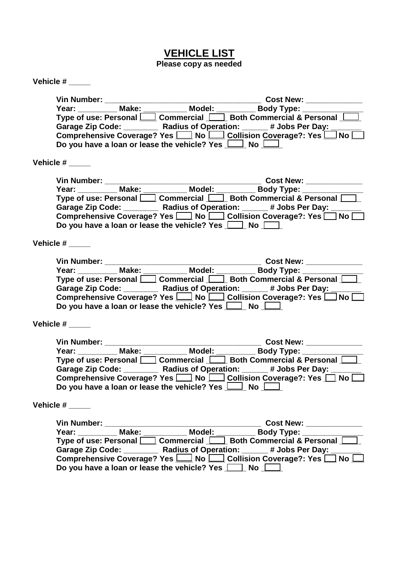## **VEHICLE LIST**

**Please copy as needed**

| Type of use: Personal <u>Commercial</u> Commercial A Personal Commercial & <b>Personal</b><br>Garage Zip Code: ________ Radius of Operation: _____ # Jobs Per Day: _____<br>Comprehensive Coverage? Yes $\boxed{\square}$ No $\boxed{\square}$ Collision Coverage?: Yes $\boxed{\square}$ No $\boxed{\square}$<br>Do you have a loan or lease the vehicle? Yes $\Box$ No $\Box$<br>Year: Make: Model: Body Type: Model: Near: Near: Near: Near: Near: Near: Near: Near: Near: Near: Near: Near: Near<br>Type of use: Personal December Commercial December 2011 Roth Commercial & Personal<br>Garage Zip Code: _________ Radius of Operation: _____# Jobs Per Day: ______<br>Comprehensive Coverage? Yes [10] No [20] Collision Coverage?: Yes [20] No<br>Do you have a loan or lease the vehicle? Yes $\Box$ No $\Box$<br>Year: Make: Make: Model: Body Type: Type of use: Personal Commercial Commercial Both Commercial & Personal<br>Garage Zip Code: ________ Radius of Operation: _____# Jobs Per Day: _____<br>Comprehensive Coverage? Yes $\boxed{\underline{\qquad}}$ No $\boxed{\phantom{a}}$ Collision Coverage?: Yes $\boxed{\phantom{a}}$ No $\boxed{\phantom{a}}$<br>Do you have a loan or lease the vehicle? Yes $\boxed{\phantom{1}}$ No $\boxed{\phantom{1}}$<br>Year: __________Make: ___________Model: ___________Body Type: ___________<br>Type of use: Personal   Commercial   Both Commercial & Personal  <br>Garage Zip Code: _________ Radius of Operation: _____# Jobs Per Day: ______<br>Comprehensive Coverage? Yes 10 No 1 Collision Coverage?: Yes 1 No<br>Do you have a loan or lease the vehicle? Yes $\boxed{\underline{\qquad}}$ No $\boxed{\phantom{a}}$<br>Vehicle #<br>Type of use: Personal [Commercial Commercial Both Commercial & Personal C<br>Garage Zip Code: ________ Radius of Operation: _____# Jobs Per Day: ______<br>Comprehensive Coverage? Yes $\Box$ No $\Box$ Collision Coverage?: Yes $\Box$ No $\Box$<br>Do you have a loan or lease the vehicle? Yes $\Box$ No $\Box$ |  |  |
|-------------------------------------------------------------------------------------------------------------------------------------------------------------------------------------------------------------------------------------------------------------------------------------------------------------------------------------------------------------------------------------------------------------------------------------------------------------------------------------------------------------------------------------------------------------------------------------------------------------------------------------------------------------------------------------------------------------------------------------------------------------------------------------------------------------------------------------------------------------------------------------------------------------------------------------------------------------------------------------------------------------------------------------------------------------------------------------------------------------------------------------------------------------------------------------------------------------------------------------------------------------------------------------------------------------------------------------------------------------------------------------------------------------------------------------------------------------------------------------------------------------------------------------------------------------------------------------------------------------------------------------------------------------------------------------------------------------------------------------------------------------------------------------------------------------------------------------------------------------------------------------------------------------------------------------------------------------------------------------------------------------------------------|--|--|
|                                                                                                                                                                                                                                                                                                                                                                                                                                                                                                                                                                                                                                                                                                                                                                                                                                                                                                                                                                                                                                                                                                                                                                                                                                                                                                                                                                                                                                                                                                                                                                                                                                                                                                                                                                                                                                                                                                                                                                                                                               |  |  |
|                                                                                                                                                                                                                                                                                                                                                                                                                                                                                                                                                                                                                                                                                                                                                                                                                                                                                                                                                                                                                                                                                                                                                                                                                                                                                                                                                                                                                                                                                                                                                                                                                                                                                                                                                                                                                                                                                                                                                                                                                               |  |  |
|                                                                                                                                                                                                                                                                                                                                                                                                                                                                                                                                                                                                                                                                                                                                                                                                                                                                                                                                                                                                                                                                                                                                                                                                                                                                                                                                                                                                                                                                                                                                                                                                                                                                                                                                                                                                                                                                                                                                                                                                                               |  |  |
|                                                                                                                                                                                                                                                                                                                                                                                                                                                                                                                                                                                                                                                                                                                                                                                                                                                                                                                                                                                                                                                                                                                                                                                                                                                                                                                                                                                                                                                                                                                                                                                                                                                                                                                                                                                                                                                                                                                                                                                                                               |  |  |
| Vehicle $#$ _______<br>Vehicle $#$ _______<br>Vehicle $#$ ________                                                                                                                                                                                                                                                                                                                                                                                                                                                                                                                                                                                                                                                                                                                                                                                                                                                                                                                                                                                                                                                                                                                                                                                                                                                                                                                                                                                                                                                                                                                                                                                                                                                                                                                                                                                                                                                                                                                                                            |  |  |
|                                                                                                                                                                                                                                                                                                                                                                                                                                                                                                                                                                                                                                                                                                                                                                                                                                                                                                                                                                                                                                                                                                                                                                                                                                                                                                                                                                                                                                                                                                                                                                                                                                                                                                                                                                                                                                                                                                                                                                                                                               |  |  |
|                                                                                                                                                                                                                                                                                                                                                                                                                                                                                                                                                                                                                                                                                                                                                                                                                                                                                                                                                                                                                                                                                                                                                                                                                                                                                                                                                                                                                                                                                                                                                                                                                                                                                                                                                                                                                                                                                                                                                                                                                               |  |  |
|                                                                                                                                                                                                                                                                                                                                                                                                                                                                                                                                                                                                                                                                                                                                                                                                                                                                                                                                                                                                                                                                                                                                                                                                                                                                                                                                                                                                                                                                                                                                                                                                                                                                                                                                                                                                                                                                                                                                                                                                                               |  |  |
|                                                                                                                                                                                                                                                                                                                                                                                                                                                                                                                                                                                                                                                                                                                                                                                                                                                                                                                                                                                                                                                                                                                                                                                                                                                                                                                                                                                                                                                                                                                                                                                                                                                                                                                                                                                                                                                                                                                                                                                                                               |  |  |
|                                                                                                                                                                                                                                                                                                                                                                                                                                                                                                                                                                                                                                                                                                                                                                                                                                                                                                                                                                                                                                                                                                                                                                                                                                                                                                                                                                                                                                                                                                                                                                                                                                                                                                                                                                                                                                                                                                                                                                                                                               |  |  |
|                                                                                                                                                                                                                                                                                                                                                                                                                                                                                                                                                                                                                                                                                                                                                                                                                                                                                                                                                                                                                                                                                                                                                                                                                                                                                                                                                                                                                                                                                                                                                                                                                                                                                                                                                                                                                                                                                                                                                                                                                               |  |  |
|                                                                                                                                                                                                                                                                                                                                                                                                                                                                                                                                                                                                                                                                                                                                                                                                                                                                                                                                                                                                                                                                                                                                                                                                                                                                                                                                                                                                                                                                                                                                                                                                                                                                                                                                                                                                                                                                                                                                                                                                                               |  |  |
|                                                                                                                                                                                                                                                                                                                                                                                                                                                                                                                                                                                                                                                                                                                                                                                                                                                                                                                                                                                                                                                                                                                                                                                                                                                                                                                                                                                                                                                                                                                                                                                                                                                                                                                                                                                                                                                                                                                                                                                                                               |  |  |
|                                                                                                                                                                                                                                                                                                                                                                                                                                                                                                                                                                                                                                                                                                                                                                                                                                                                                                                                                                                                                                                                                                                                                                                                                                                                                                                                                                                                                                                                                                                                                                                                                                                                                                                                                                                                                                                                                                                                                                                                                               |  |  |
|                                                                                                                                                                                                                                                                                                                                                                                                                                                                                                                                                                                                                                                                                                                                                                                                                                                                                                                                                                                                                                                                                                                                                                                                                                                                                                                                                                                                                                                                                                                                                                                                                                                                                                                                                                                                                                                                                                                                                                                                                               |  |  |
|                                                                                                                                                                                                                                                                                                                                                                                                                                                                                                                                                                                                                                                                                                                                                                                                                                                                                                                                                                                                                                                                                                                                                                                                                                                                                                                                                                                                                                                                                                                                                                                                                                                                                                                                                                                                                                                                                                                                                                                                                               |  |  |
|                                                                                                                                                                                                                                                                                                                                                                                                                                                                                                                                                                                                                                                                                                                                                                                                                                                                                                                                                                                                                                                                                                                                                                                                                                                                                                                                                                                                                                                                                                                                                                                                                                                                                                                                                                                                                                                                                                                                                                                                                               |  |  |
|                                                                                                                                                                                                                                                                                                                                                                                                                                                                                                                                                                                                                                                                                                                                                                                                                                                                                                                                                                                                                                                                                                                                                                                                                                                                                                                                                                                                                                                                                                                                                                                                                                                                                                                                                                                                                                                                                                                                                                                                                               |  |  |
|                                                                                                                                                                                                                                                                                                                                                                                                                                                                                                                                                                                                                                                                                                                                                                                                                                                                                                                                                                                                                                                                                                                                                                                                                                                                                                                                                                                                                                                                                                                                                                                                                                                                                                                                                                                                                                                                                                                                                                                                                               |  |  |
|                                                                                                                                                                                                                                                                                                                                                                                                                                                                                                                                                                                                                                                                                                                                                                                                                                                                                                                                                                                                                                                                                                                                                                                                                                                                                                                                                                                                                                                                                                                                                                                                                                                                                                                                                                                                                                                                                                                                                                                                                               |  |  |
|                                                                                                                                                                                                                                                                                                                                                                                                                                                                                                                                                                                                                                                                                                                                                                                                                                                                                                                                                                                                                                                                                                                                                                                                                                                                                                                                                                                                                                                                                                                                                                                                                                                                                                                                                                                                                                                                                                                                                                                                                               |  |  |
|                                                                                                                                                                                                                                                                                                                                                                                                                                                                                                                                                                                                                                                                                                                                                                                                                                                                                                                                                                                                                                                                                                                                                                                                                                                                                                                                                                                                                                                                                                                                                                                                                                                                                                                                                                                                                                                                                                                                                                                                                               |  |  |
|                                                                                                                                                                                                                                                                                                                                                                                                                                                                                                                                                                                                                                                                                                                                                                                                                                                                                                                                                                                                                                                                                                                                                                                                                                                                                                                                                                                                                                                                                                                                                                                                                                                                                                                                                                                                                                                                                                                                                                                                                               |  |  |
|                                                                                                                                                                                                                                                                                                                                                                                                                                                                                                                                                                                                                                                                                                                                                                                                                                                                                                                                                                                                                                                                                                                                                                                                                                                                                                                                                                                                                                                                                                                                                                                                                                                                                                                                                                                                                                                                                                                                                                                                                               |  |  |
|                                                                                                                                                                                                                                                                                                                                                                                                                                                                                                                                                                                                                                                                                                                                                                                                                                                                                                                                                                                                                                                                                                                                                                                                                                                                                                                                                                                                                                                                                                                                                                                                                                                                                                                                                                                                                                                                                                                                                                                                                               |  |  |
|                                                                                                                                                                                                                                                                                                                                                                                                                                                                                                                                                                                                                                                                                                                                                                                                                                                                                                                                                                                                                                                                                                                                                                                                                                                                                                                                                                                                                                                                                                                                                                                                                                                                                                                                                                                                                                                                                                                                                                                                                               |  |  |
|                                                                                                                                                                                                                                                                                                                                                                                                                                                                                                                                                                                                                                                                                                                                                                                                                                                                                                                                                                                                                                                                                                                                                                                                                                                                                                                                                                                                                                                                                                                                                                                                                                                                                                                                                                                                                                                                                                                                                                                                                               |  |  |
|                                                                                                                                                                                                                                                                                                                                                                                                                                                                                                                                                                                                                                                                                                                                                                                                                                                                                                                                                                                                                                                                                                                                                                                                                                                                                                                                                                                                                                                                                                                                                                                                                                                                                                                                                                                                                                                                                                                                                                                                                               |  |  |
|                                                                                                                                                                                                                                                                                                                                                                                                                                                                                                                                                                                                                                                                                                                                                                                                                                                                                                                                                                                                                                                                                                                                                                                                                                                                                                                                                                                                                                                                                                                                                                                                                                                                                                                                                                                                                                                                                                                                                                                                                               |  |  |
|                                                                                                                                                                                                                                                                                                                                                                                                                                                                                                                                                                                                                                                                                                                                                                                                                                                                                                                                                                                                                                                                                                                                                                                                                                                                                                                                                                                                                                                                                                                                                                                                                                                                                                                                                                                                                                                                                                                                                                                                                               |  |  |
|                                                                                                                                                                                                                                                                                                                                                                                                                                                                                                                                                                                                                                                                                                                                                                                                                                                                                                                                                                                                                                                                                                                                                                                                                                                                                                                                                                                                                                                                                                                                                                                                                                                                                                                                                                                                                                                                                                                                                                                                                               |  |  |
|                                                                                                                                                                                                                                                                                                                                                                                                                                                                                                                                                                                                                                                                                                                                                                                                                                                                                                                                                                                                                                                                                                                                                                                                                                                                                                                                                                                                                                                                                                                                                                                                                                                                                                                                                                                                                                                                                                                                                                                                                               |  |  |